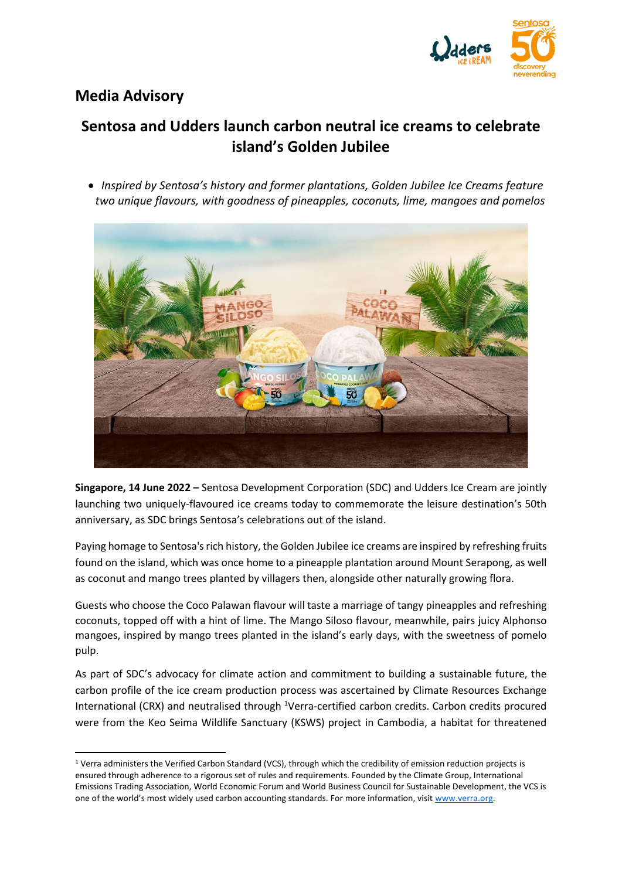

## **Media Advisory**

# **Sentosa and Udders launch carbon neutral ice creams to celebrate island's Golden Jubilee**

• *Inspired by Sentosa's history and former plantations, Golden Jubilee Ice Creams feature two unique flavours, with goodness of pineapples, coconuts, lime, mangoes and pomelos*



**Singapore, 14 June 2022 –** Sentosa Development Corporation (SDC) and Udders Ice Cream are jointly launching two uniquely-flavoured ice creams today to commemorate the leisure destination's 50th anniversary, as SDC brings Sentosa's celebrations out of the island.

Paying homage to Sentosa's rich history, the Golden Jubilee ice creams are inspired by refreshing fruits found on the island, which was once home to a pineapple plantation around Mount Serapong, as well as coconut and mango trees planted by villagers then, alongside other naturally growing flora.

Guests who choose the Coco Palawan flavour will taste a marriage of tangy pineapples and refreshing coconuts, topped off with a hint of lime. The Mango Siloso flavour, meanwhile, pairs juicy Alphonso mangoes, inspired by mango trees planted in the island's early days, with the sweetness of pomelo pulp.

As part of SDC's advocacy for climate action and commitment to building a sustainable future, the carbon profile of the ice cream production process was ascertained by Climate Resources Exchange International (CRX) and neutralised through <sup>1</sup>Verra-certified carbon credits. Carbon credits procured were from the Keo Seima Wildlife Sanctuary (KSWS) project in Cambodia, a habitat for threatened

<sup>1</sup> Verra administers the Verified Carbon Standard (VCS), through which the credibility of emission reduction projects is ensured through adherence to a rigorous set of rules and requirements. Founded by the Climate Group, International Emissions Trading Association, World Economic Forum and World Business Council for Sustainable Development, the VCS is one of the world's most widely used carbon accounting standards. For more information, visit [www.verra.org.](http://www.verra.org/)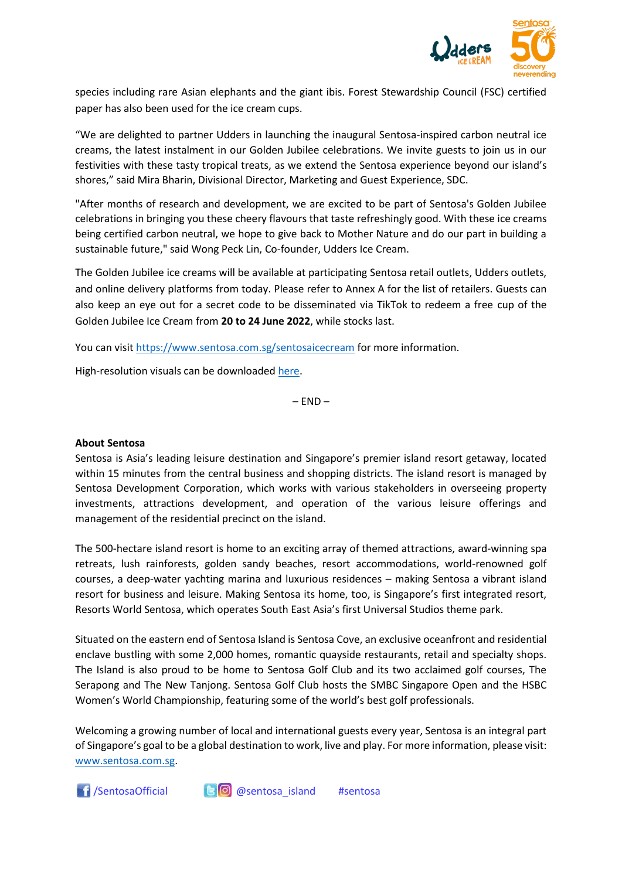

species including rare Asian elephants and the giant ibis. Forest Stewardship Council (FSC) certified paper has also been used for the ice cream cups.

"We are delighted to partner Udders in launching the inaugural Sentosa-inspired carbon neutral ice creams, the latest instalment in our Golden Jubilee celebrations. We invite guests to join us in our festivities with these tasty tropical treats, as we extend the Sentosa experience beyond our island's shores," said Mira Bharin, Divisional Director, Marketing and Guest Experience, SDC.

"After months of research and development, we are excited to be part of Sentosa's Golden Jubilee celebrations in bringing you these cheery flavours that taste refreshingly good. With these ice creams being certified carbon neutral, we hope to give back to Mother Nature and do our part in building a sustainable future," said Wong Peck Lin, Co-founder, Udders Ice Cream.

The Golden Jubilee ice creams will be available at participating Sentosa retail outlets, Udders outlets, and online delivery platforms from today. Please refer to Annex A for the list of retailers. Guests can also keep an eye out for a secret code to be disseminated via TikTok to redeem a free cup of the Golden Jubilee Ice Cream from **20 to 24 June 2022**, while stocks last.

You can visit<https://www.sentosa.com.sg/sentosaicecream> for more information.

High-resolution visuals can be downloaded [here.](https://www.dropbox.com/sh/gbt1kljhj8wvny5/AABx5ofFw5un857hRF-jAYO5a?dl=0)

 $-$  FND $-$ 

#### **About Sentosa**

Sentosa is Asia's leading leisure destination and Singapore's premier island resort getaway, located within 15 minutes from the central business and shopping districts. The island resort is managed by Sentosa Development Corporation, which works with various stakeholders in overseeing property investments, attractions development, and operation of the various leisure offerings and management of the residential precinct on the island.

The 500-hectare island resort is home to an exciting array of themed attractions, award-winning spa retreats, lush rainforests, golden sandy beaches, resort accommodations, world-renowned golf courses, a deep-water yachting marina and luxurious residences – making Sentosa a vibrant island resort for business and leisure. Making Sentosa its home, too, is Singapore's first integrated resort, Resorts World Sentosa, which operates South East Asia's first Universal Studios theme park.

Situated on the eastern end of Sentosa Island is Sentosa Cove, an exclusive oceanfront and residential enclave bustling with some 2,000 homes, romantic quayside restaurants, retail and specialty shops. The Island is also proud to be home to Sentosa Golf Club and its two acclaimed golf courses, The Serapong and The New Tanjong. Sentosa Golf Club hosts the SMBC Singapore Open and the HSBC Women's World Championship, featuring some of the world's best golf professionals.

Welcoming a growing number of local and international guests every year, Sentosa is an integral part of Singapore's goal to be a global destination to work, live and play. For more information, please visit: [www.sentosa.com.sg.](http://www.sentosa.com.sg/)